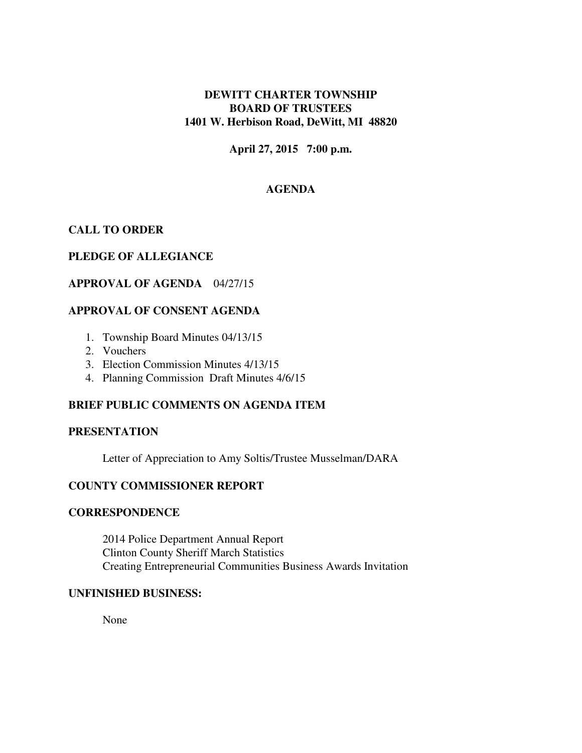### **DEWITT CHARTER TOWNSHIP BOARD OF TRUSTEES 1401 W. Herbison Road, DeWitt, MI 48820**

**April 27, 2015 7:00 p.m.** 

# **AGENDA**

## **CALL TO ORDER**

### **PLEDGE OF ALLEGIANCE**

## **APPROVAL OF AGENDA** 04/27/15

## **APPROVAL OF CONSENT AGENDA**

- 1. Township Board Minutes 04/13/15
- 2. Vouchers
- 3. Election Commission Minutes 4/13/15
- 4. Planning Commission Draft Minutes 4/6/15

## **BRIEF PUBLIC COMMENTS ON AGENDA ITEM**

### **PRESENTATION**

Letter of Appreciation to Amy Soltis/Trustee Musselman/DARA

### **COUNTY COMMISSIONER REPORT**

### **CORRESPONDENCE**

2014 Police Department Annual Report Clinton County Sheriff March Statistics Creating Entrepreneurial Communities Business Awards Invitation

### **UNFINISHED BUSINESS:**

None